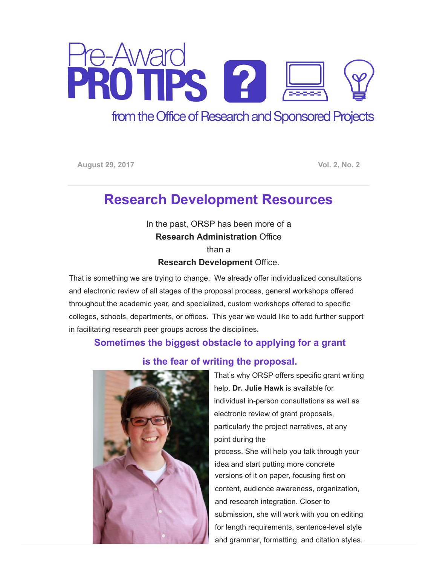

## from the Office of Research and Sponsored Projects

August 29, 2017 **Vol. 2, No. 2** 

# Research Development Resources

In the past, ORSP has been more of a Research Administration Office

than a Research Development Office.

That is something we are trying to change. We already offer individualized consultations and electronic review of all stages of the proposal process, general workshops offered throughout the academic year, and specialized, custom workshops offered to specific colleges, schools, departments, or offices. This year we would like to add further support in facilitating research peer groups across the disciplines.

### Sometimes the biggest obstacle to applying for a grant



#### is the fear of writing the proposal.

That's why ORSP offers specific grant writing help. Dr. Julie Hawk is available for individual in-person consultations as well as electronic review of grant proposals, particularly the project narratives, at any point during the process. She will help you talk through your idea and start putting more concrete versions of it on paper, focusing first on content, audience awareness, organization, and research integration. Closer to submission, she will work with you on editing for length requirements, sentence-level style and grammar, formatting, and citation styles.